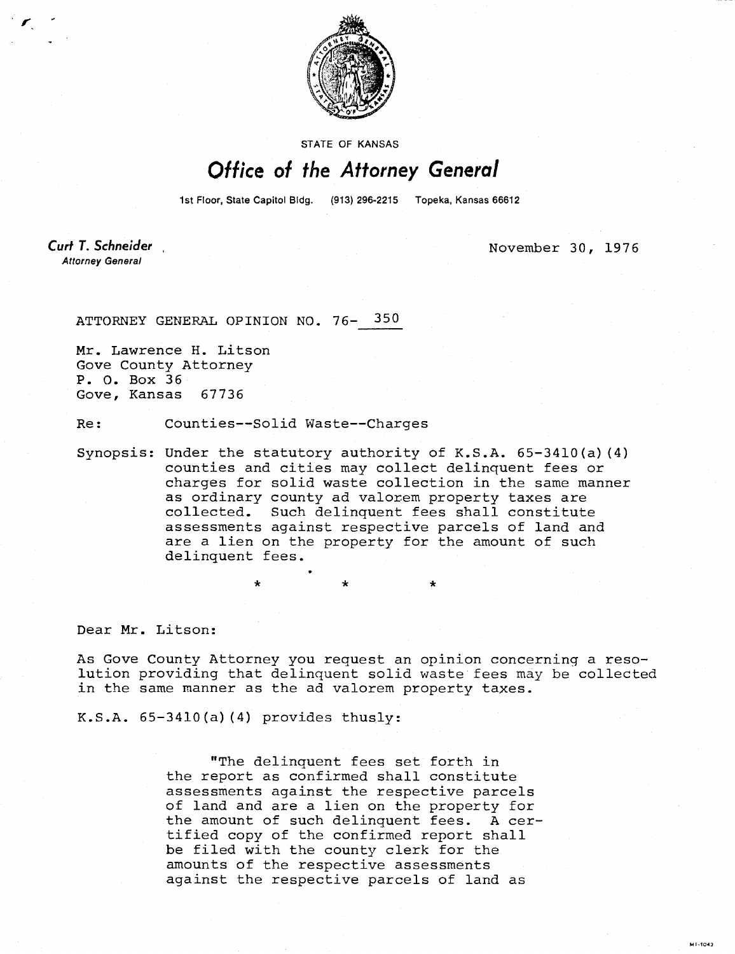

**STATE OF KANSAS** 

## Office of the Attorney General

1st Floor, State Capitol Bidg. (913) 296-2215 Topeka, Kansas 66612

Curt T. Schneider **Attorney General** 

November 30, 1976

MI-1043

ATTORNEY GENERAL OPINION NO. 76- 350

Mr. Lawrence H. Litson Gove County Attorney P. 0. Box 36 Gove, Kansas 67736

Re: Counties--Solid Waste--Charges

Synopsis: Under the statutory authority of K.S.A. 65-3410(a)(4) counties and cities may collect delinquent fees or charges for solid waste collection in the same manner as ordinary county ad valorem property taxes are collected. Such delinquent fees shall constitute assessments against respective parcels of land and are a lien on the property for the amount of such delinquent fees.

Dear Mr. Litson:

As Gove County Attorney you request an opinion concerning a resolution providing that delinquent solid waste fees may be collected in the same manner as the ad valorem property taxes.

K.S.A.  $65-3410(a)$  (4) provides thusly:

"The delinquent fees set forth in the report as confirmed shall constitute assessments against the respective parcels of land and are a lien on the property for the amount of such delinquent fees. A certified copy of the confirmed report shall be filed with the county clerk for the amounts of the respective assessments against the respective parcels of land as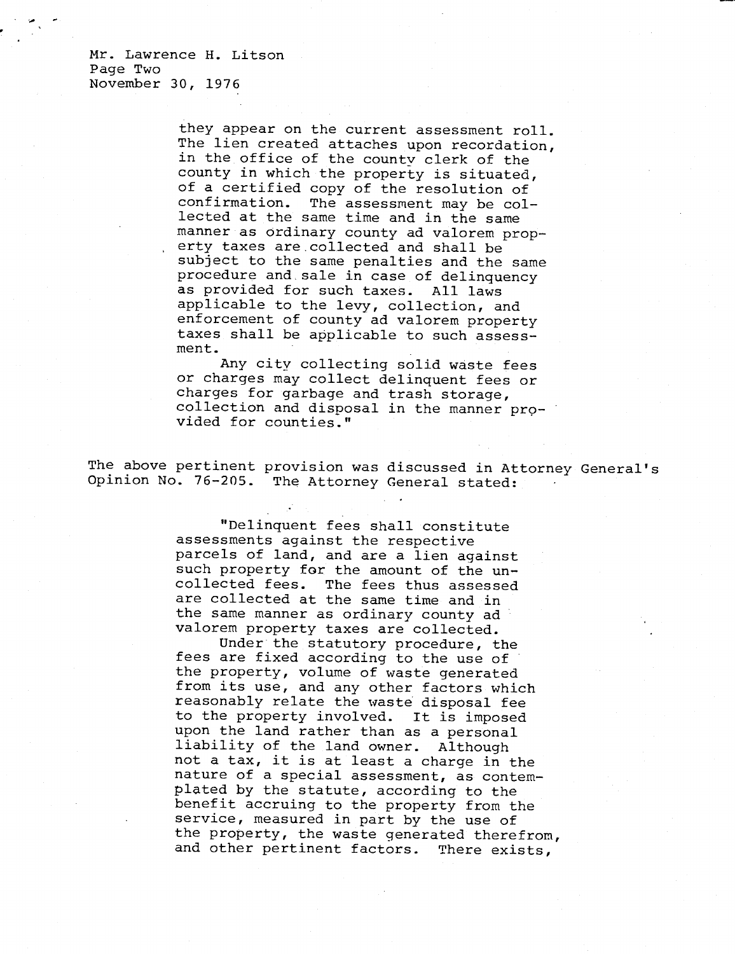Mr. Lawrence H. Litson Page Two November 30, 1976

> they appear on the current assessment roll. The lien created attaches upon recordation, in the office of the county clerk of the county in which the property is situated, of a certified copy of the resolution of confirmation. The assessment may be collected at the same time and in the same manner as ordinary county ad valorem property taxes are collected and shall be subject to the same penalties and the same procedure and sale in case of delinquency as provided for such taxes. All laws applicable to the levy, collection, and enforcement of county ad valorem property taxes shall be applicable to such assessment.

Any city collecting solid waste fees or charges may collect delinquent fees or charges for garbage and trash storage, collection and disposal in the manner provided for counties."

The above pertinent provision was discussed in Attorney General's Opinion No. 76-205. The Attorney General stated:

> "Delinquent fees shall constitute assessments against the respective parcels of land, and are a lien against such property for the amount of the uncollected fees. The fees thus assessed are collected at the same time and in the same manner as ordinary county ad valorem property taxes are collected.

Under the statutory procedure, the fees are fixed according to the use of the property, volume of waste generated from its use, and any other factors which reasonably relate the waste disposal fee to the property involved. It is imposed upon the land rather than as a personal liability of the land owner. Although not a tax, it is at least a charge in the nature of a special assessment, as contemplated by the statute, according to the benefit accruing to the property from the service, measured in part by the use of the property, the waste generated therefrom, and other pertinent factors. There exists,